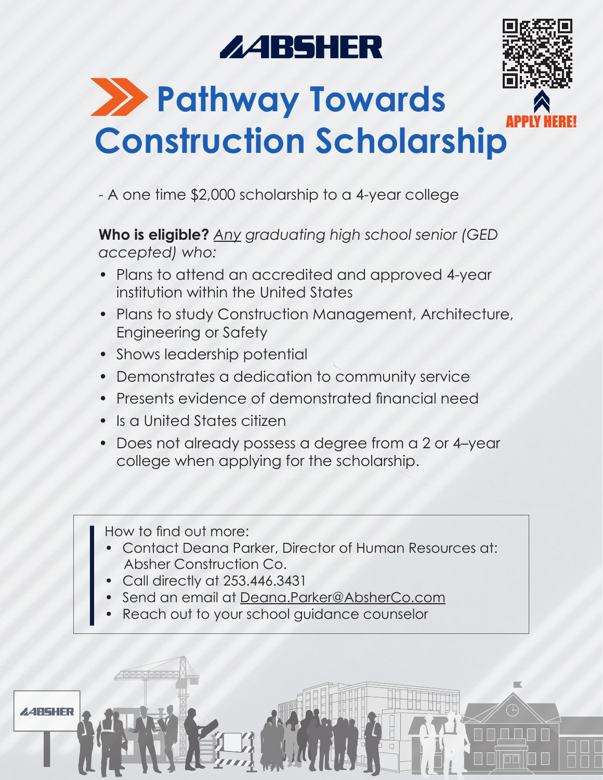# **ZABSHER**



### **22 Pathway Towards Construction Scholarship** APPLY HERE!

- A one time \$2,000 scholarship to a 4-year college

**Who is eligible?** *Any graduating high school senior (GED accepted) who:*

- Plans to attend an accredited and approved 4-year institution within the United States
- Plans to study Construction Management, Architecture, Engineering or Safety
- Shows leadership potential
- Demonstrates a dedication to community service
- Presents evidence of demonstrated financial need
- Is a United States citizen
- Does not already possess a degree from a 2 or 4–year college when applying for the scholarship.

How to find out more:

- Contact Deana Parker, Director of Human Resources at: Absher Construction Co.
- Call directly at 253.446.3431
- Send an email at Deana.Parker@AbsherCo.com
- Reach out to your school guidance counselor